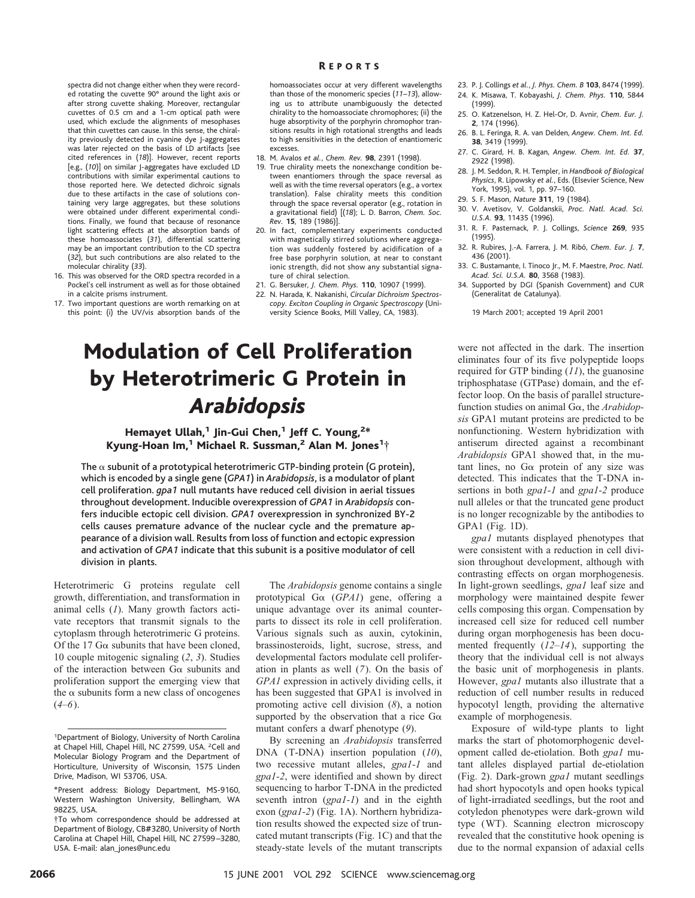spectra did not change either when they were recorded rotating the cuvette 90° around the light axis or after strong cuvette shaking. Moreover, rectangular cuvettes of 0.5 cm and a 1-cm optical path were used, which exclude the alignments of mesophases that thin cuvettes can cause. In this sense, the chirality previously detected in cyanine dye J-aggregates was later rejected on the basis of LD artifacts [see cited references in (*18*)]. However, recent reports [e.g., (*10*)] on similar J-aggregates have excluded LD contributions with similar experimental cautions to those reported here. We detected dichroic signals due to these artifacts in the case of solutions containing very large aggregates, but these solutions were obtained under different experimental conditions. Finally, we found that because of resonance light scattering effects at the absorption bands of these homoassociates (*31*), differential scattering may be an important contribution to the CD spectra (*32*), but such contributions are also related to the molecular chirality (*33*).

- 16. This was observed for the ORD spectra recorded in a Pockel's cell instrument as well as for those obtained in a calcite prisms instrument.
- 17. Two important questions are worth remarking on at this point: (i) the UV/vis absorption bands of the

## R EPORTS

homoassociates occur at very different wavelengths than those of the monomeric species (*11*–*13*), allowing us to attribute unambiguously the detected chirality to the homoassociate chromophores; (ii) the huge absorptivity of the porphyrin chromophor transitions results in high rotational strengths and leads to high sensitivities in the detection of enantiomeric excesses.

- 18. M. Avalos *et al.*, *Chem. Rev.* **98**, 2391 (1998).
- 19. True chirality meets the nonexchange condition between enantiomers through the space reversal as well as with the time reversal operators (e.g., a vortex translation). False chirality meets this condition through the space reversal operator (e.g., rotation in a gravitational field) [(*18*); L. D. Barron, *Chem. Soc. Rev.* **15**, 189 (1986)].
- 20. In fact, complementary experiments conducted with magnetically stirred solutions where aggregation was suddenly fostered by acidification of a free base porphyrin solution, at near to constant ionic strength, did not show any substantial signature of chiral selection.
- 21. G. Bersuker, *J. Chem. Phys.* **110**, 10907 (1999).
- 22. N. Harada, K. Nakanishi, *Circular Dichroism Spectroscopy. Exciton Coupling in Organic Spectroscopy* (University Science Books, Mill Valley, CA, 1983).

## Modulation of Cell Proliferation by Heterotrimeric G Protein in *Arabidopsis*

## Hemayet Ullah,<sup>1</sup> Jin-Gui Chen,<sup>1</sup> Jeff C. Young,<sup>2\*</sup> Kyung-Hoan Im, $^1$  Michael R. Sussman, $^2$  Alan M. Jones $^1\dagger$

The  $\alpha$  subunit of a prototypical heterotrimeric GTP-binding protein (G protein), which is encoded by a single gene (*GPA1*) in *Arabidopsis*, is a modulator of plant cell proliferation. *gpa1* null mutants have reduced cell division in aerial tissues throughout development. Inducible overexpression of *GPA1* in *Arabidopsis* confers inducible ectopic cell division. *GPA1* overexpression in synchronized BY-2 cells causes premature advance of the nuclear cycle and the premature appearance of a division wall. Results from loss of function and ectopic expression and activation of *GPA1* indicate that this subunit is a positive modulator of cell division in plants.

Heterotrimeric G proteins regulate cell growth, differentiation, and transformation in animal cells (*1*). Many growth factors activate receptors that transmit signals to the cytoplasm through heterotrimeric G proteins. Of the 17 G $\alpha$  subunits that have been cloned, 10 couple mitogenic signaling (*2*, *3*). Studies of the interaction between  $G\alpha$  subunits and proliferation support the emerging view that the  $\alpha$  subunits form a new class of oncogenes  $(4–6)$ .

The *Arabidopsis* genome contains a single prototypical Ga (*GPA1*) gene, offering a unique advantage over its animal counterparts to dissect its role in cell proliferation. Various signals such as auxin, cytokinin, brassinosteroids, light, sucrose, stress, and developmental factors modulate cell proliferation in plants as well (*7*). On the basis of *GPA1* expression in actively dividing cells, it has been suggested that GPA1 is involved in promoting active cell division (*8*), a notion supported by the observation that a rice  $G\alpha$ mutant confers a dwarf phenotype (*9*).

By screening an *Arabidopsis* transferred DNA (T-DNA) insertion population (*10*), two recessive mutant alleles, *gpa1-1* and *gpa1-2*, were identified and shown by direct sequencing to harbor T-DNA in the predicted seventh intron (*gpa1-1*) and in the eighth exon (*gpa1-2*) (Fig. 1A). Northern hybridization results showed the expected size of truncated mutant transcripts (Fig. 1C) and that the steady-state levels of the mutant transcripts

- 23. P. J. Collings *et al.*, *J. Phys. Chem. B* **103**, 8474 (1999).
- 24. K. Misawa, T. Kobayashi, *J. Chem. Phys.* **110**, 5844 (1999).
- 25. O. Katzenelson, H. Z. Hel-Or, D. Avnir, *Chem. Eur. J.* **2**, 174 (1996).
- 26. B. L. Feringa, R. A. van Delden, *Angew. Chem. Int. Ed.* **38**, 3419 (1999).
- 27. C. Girard, H. B. Kagan, *Angew. Chem. Int. Ed.* **37**, 2922 (1998).
- 28. J. M. Seddon, R. H. Templer, in *Handbook of Biological Physics*, R. Lipowsky *et al.*, Eds. (Elsevier Science, New York, 1995), vol. 1, pp. 97–160.
- 29. S. F. Mason, *Nature* **311**, 19 (1984).
- 30. V. Avetisov, V. Goldanskii, *Proc. Natl. Acad. Sci. U.S.A.* **93**, 11435 (1996).
- 31. R. F. Pasternack, P. J. Collings, *Science* **269**, 935 (1995).
- 32. R. Rubires, J.-A. Farrera, J. M. Ribo´, *Chem. Eur. J.* **7**, 436 (2001).
- 33. C. Bustamante, I. Tinoco Jr., M. F. Maestre, *Proc. Natl. Acad. Sci. U.S.A.* **80**, 3568 (1983).
- 34. Supported by DGI (Spanish Government) and CUR (Generalitat de Catalunya).

19 March 2001; accepted 19 April 2001

were not affected in the dark. The insertion eliminates four of its five polypeptide loops required for GTP binding (*11*), the guanosine triphosphatase (GTPase) domain, and the effector loop. On the basis of parallel structurefunction studies on animal Ga, the *Arabidopsis* GPA1 mutant proteins are predicted to be nonfunctioning. Western hybridization with antiserum directed against a recombinant *Arabidopsis* GPA1 showed that, in the mutant lines, no  $Ga$  protein of any size was detected. This indicates that the T-DNA insertions in both *gpa1-1* and *gpa1-2* produce null alleles or that the truncated gene product is no longer recognizable by the antibodies to GPA1 (Fig. 1D).

*gpa1* mutants displayed phenotypes that were consistent with a reduction in cell division throughout development, although with contrasting effects on organ morphogenesis. In light-grown seedlings, *gpa1* leaf size and morphology were maintained despite fewer cells composing this organ. Compensation by increased cell size for reduced cell number during organ morphogenesis has been documented frequently (*12*–*14*), supporting the theory that the individual cell is not always the basic unit of morphogenesis in plants. However, *gpa1* mutants also illustrate that a reduction of cell number results in reduced hypocotyl length, providing the alternative example of morphogenesis.

Exposure of wild-type plants to light marks the start of photomorphogenic development called de-etiolation. Both *gpa1* mutant alleles displayed partial de-etiolation (Fig. 2). Dark-grown *gpa1* mutant seedlings had short hypocotyls and open hooks typical of light-irradiated seedlings, but the root and cotyledon phenotypes were dark-grown wild type (WT). Scanning electron microscopy revealed that the constitutive hook opening is due to the normal expansion of adaxial cells

<sup>1</sup> Department of Biology, University of North Carolina at Chapel Hill, Chapel Hill, NC 27599, USA. <sup>2</sup>Cell and Molecular Biology Program and the Department of Horticulture, University of Wisconsin, 1575 Linden Drive, Madison, WI 53706, USA.

<sup>\*</sup>Present address: Biology Department, MS-9160, Western Washington University, Bellingham, WA 98225, USA.

<sup>†</sup>To whom correspondence should be addressed at Department of Biology, CB#3280, University of North Carolina at Chapel Hill, Chapel Hill, NC 27599–3280, USA. E-mail: alan\_jones@unc.edu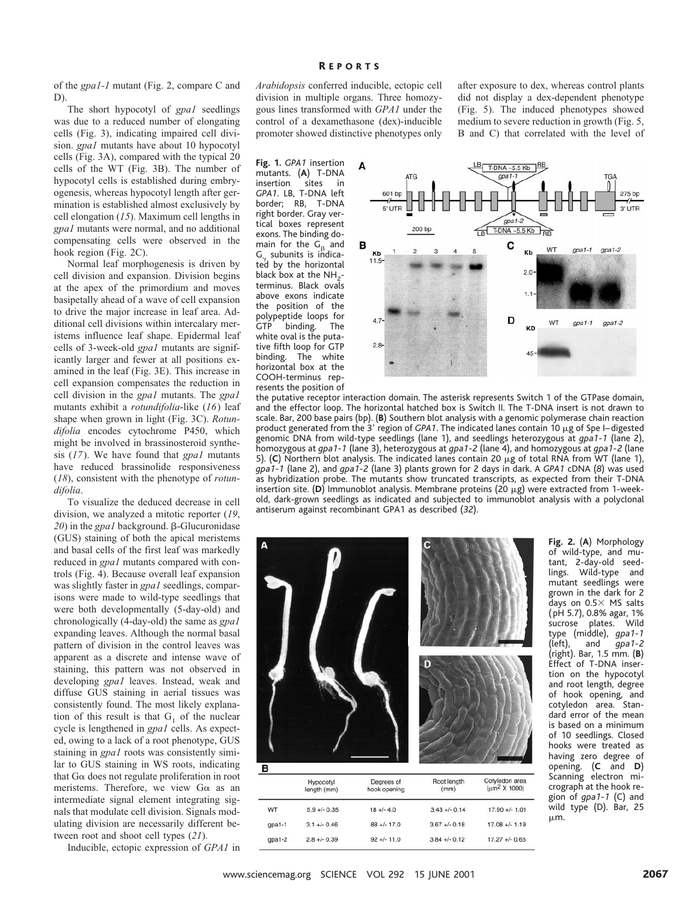of the *gpa1-1* mutant (Fig. 2, compare C and D).

The short hypocotyl of *gpa1* seedlings was due to a reduced number of elongating cells (Fig. 3), indicating impaired cell division. *gpa1* mutants have about 10 hypocotyl cells (Fig. 3A), compared with the typical 20 cells of the WT (Fig. 3B). The number of hypocotyl cells is established during embryogenesis, whereas hypocotyl length after germination is established almost exclusively by cell elongation (*15*). Maximum cell lengths in *gpa1* mutants were normal, and no additional compensating cells were observed in the hook region (Fig. 2C).

Normal leaf morphogenesis is driven by cell division and expansion. Division begins at the apex of the primordium and moves basipetally ahead of a wave of cell expansion to drive the major increase in leaf area. Additional cell divisions within intercalary meristems influence leaf shape. Epidermal leaf cells of 3-week-old *gpa1* mutants are significantly larger and fewer at all positions examined in the leaf (Fig. 3E). This increase in cell expansion compensates the reduction in cell division in the *gpa1* mutants. The *gpa1* mutants exhibit a *rotundifolia*-like (*16*) leaf shape when grown in light (Fig. 3C). *Rotundifolia* encodes cytochrome P450, which might be involved in brassinosteroid synthesis (*17*). We have found that *gpa1* mutants have reduced brassinolide responsiveness (*18*), consistent with the phenotype of *rotundifolia*.

To visualize the deduced decrease in cell division, we analyzed a mitotic reporter (*19*, *20*) in the *gpa1* background. β-Glucuronidase (GUS) staining of both the apical meristems and basal cells of the first leaf was markedly reduced in *gpa1* mutants compared with controls (Fig. 4). Because overall leaf expansion was slightly faster in *gpa1* seedlings, comparisons were made to wild-type seedlings that were both developmentally (5-day-old) and chronologically (4-day-old) the same as *gpa1* expanding leaves. Although the normal basal pattern of division in the control leaves was apparent as a discrete and intense wave of staining, this pattern was not observed in developing *gpa1* leaves. Instead, weak and diffuse GUS staining in aerial tissues was consistently found. The most likely explanation of this result is that  $G_1$  of the nuclear cycle is lengthened in *gpa1* cells. As expected, owing to a lack of a root phenotype, GUS staining in *gpa1* roots was consistently similar to GUS staining in WS roots, indicating that  $G\alpha$  does not regulate proliferation in root meristems. Therefore, we view  $G\alpha$  as an intermediate signal element integrating signals that modulate cell division. Signals modulating division are necessarily different between root and shoot cell types (*21*).

Inducible, ectopic expression of *GPA1* in

*Arabidopsis* conferred inducible, ectopic cell division in multiple organs. Three homozygous lines transformed with *GPA1* under the control of a dexamethasone (dex)-inducible promoter showed distinctive phenotypes only

**Fig. 1.** *GPA1* insertion mutants. (A) T-DNA<br>insertion sites in insertion sites in *GPA1*. LB, T-DNA left border; RB, T-DNA right border. Gray vertical boxes represent exons. The binding domain for the  $G_{\beta}$  and  $G_{\gamma}$  subunits is indicated by the horizontal black box at the  $NH<sub>2</sub>$ terminus. Black ovals above exons indicate the position of the polypeptide loops for<br>GTP binding. The GTP binding. white oval is the putative fifth loop for GTP binding. The white horizontal box at the COOH-terminus represents the position of

after exposure to dex, whereas control plants did not display a dex-dependent phenotype (Fig. 5). The induced phenotypes showed medium to severe reduction in growth (Fig. 5, B and C) that correlated with the level of



the putative receptor interaction domain. The asterisk represents Switch 1 of the GTPase domain, and the effector loop. The horizontal hatched box is Switch II. The T-DNA insert is not drawn to scale. Bar, 200 base pairs (bp). (**B**) Southern blot analysis with a genomic polymerase chain reaction product generated from the 3<sup>'</sup> region of *GPA1*. The indicated lanes contain 10  $\mu$ g of Spe I–digested genomic DNA from wild-type seedlings (lane 1), and seedlings heterozygous at *gpa1-1* (lane 2), homozygous at *gpa1-1* (lane 3), heterozygous at *gpa1-2* (lane 4), and homozygous at *gpa1-2* (lane 5). (C) Northern blot analysis. The indicated lanes contain 20 µg of total RNA from WT (lane 1), *gpa1-1* (lane 2), and *gpa1-2* (lane 3) plants grown for 2 days in dark. A *GPA1* cDNA (*8*) was used as hybridization probe. The mutants show truncated transcripts, as expected from their T-DNA insertion site. (D) Immunoblot analysis. Membrane proteins ( $20 \mu g$ ) were extracted from 1-weekold, dark-grown seedlings as indicated and subjected to immunoblot analysis with a polyclonal antiserum against recombinant GPA1 as described (*32*).



 $88 +/- 17.0$ 

 $92 + 11.0$ 

 $3.67 +/- 0.18$ 

 $3.84 + / -0.12$ 

 $17.08 +/- 1.19$ 

 $17.27 + 0.65$ 

of wild-type, and mutant, 2-day-old seedlings. Wild-type and mutant seedlings were grown in the dark for 2 days on  $0.5 \times$  MS salts (pH 5.7), 0.8% agar, 1% sucrose plates. Wild type (middle), *gpa1-1* and *gpa1-2* (right). Bar, 1.5 mm. (**B**) Effect of T-DNA insertion on the hypocotyl and root length, degree of hook opening, and cotyledon area. Standard error of the mean is based on a minimum of 10 seedlings. Closed hooks were treated as having zero degree of opening. (**C** and **D**) Scanning electron micrograph at the hook region of *gpa1-1* (C) and wild type (D). Bar, 25  $µm.$ 

**Fig. 2.** (**A**) Morphology

www.sciencemag.org SCIENCE VOL 292 15 JUNE 2001 2007 2007

 $3.1 +/- 0.46$ 

 $2.8 +/- 0.39$ 

 $qpa1-1$ 

 $qpa1-2$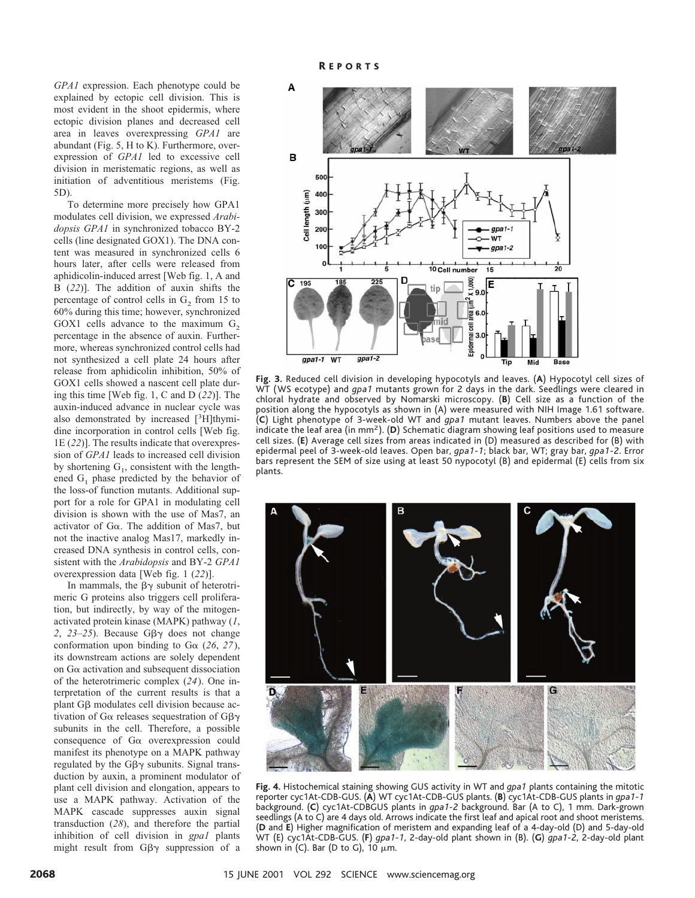*GPA1* expression. Each phenotype could be explained by ectopic cell division. This is most evident in the shoot epidermis, where ectopic division planes and decreased cell area in leaves overexpressing *GPA1* are abundant (Fig. 5, H to K). Furthermore, overexpression of *GPA1* led to excessive cell division in meristematic regions, as well as initiation of adventitious meristems (Fig. 5D).

To determine more precisely how GPA1 modulates cell division, we expressed *Arabidopsis GPA1* in synchronized tobacco BY-2 cells (line designated GOX1). The DNA content was measured in synchronized cells 6 hours later, after cells were released from aphidicolin-induced arrest [Web fig. 1, A and B (*22*)]. The addition of auxin shifts the percentage of control cells in  $G_2$  from 15 to 60% during this time; however, synchronized GOX1 cells advance to the maximum  $G<sub>2</sub>$ percentage in the absence of auxin. Furthermore, whereas synchronized control cells had not synthesized a cell plate 24 hours after release from aphidicolin inhibition, 50% of GOX1 cells showed a nascent cell plate during this time [Web fig. 1, C and D (*22*)]. The auxin-induced advance in nuclear cycle was also demonstrated by increased [3H]thymidine incorporation in control cells [Web fig. 1E (*22*)]. The results indicate that overexpression of *GPA1* leads to increased cell division by shortening  $G_1$ , consistent with the lengthened  $G_1$  phase predicted by the behavior of the loss-of function mutants. Additional support for a role for GPA1 in modulating cell division is shown with the use of Mas7, an activator of  $G\alpha$ . The addition of Mas7, but not the inactive analog Mas17, markedly increased DNA synthesis in control cells, consistent with the *Arabidopsis* and BY-2 *GPA1* overexpression data [Web fig. 1 (*22*)].

In mammals, the  $\beta\gamma$  subunit of heterotrimeric G proteins also triggers cell proliferation, but indirectly, by way of the mitogenactivated protein kinase (MAPK) pathway (*1*, 2,  $23-25$ ). Because Gβ $γ$  does not change conformation upon binding to  $Ga(26, 27)$ , its downstream actions are solely dependent on Ga activation and subsequent dissociation of the heterotrimeric complex (*24*). One interpretation of the current results is that a plant  $G\beta$  modulates cell division because activation of G $\alpha$  releases sequestration of G $\beta\gamma$ subunits in the cell. Therefore, a possible consequence of Ga overexpression could manifest its phenotype on a MAPK pathway regulated by the  $G\beta\gamma$  subunits. Signal transduction by auxin, a prominent modulator of plant cell division and elongation, appears to use a MAPK pathway. Activation of the MAPK cascade suppresses auxin signal transduction (*28*), and therefore the partial inhibition of cell division in *gpa1* plants might result from  $G\beta\gamma$  suppression of a



**Fig. 3.** Reduced cell division in developing hypocotyls and leaves. (**A**) Hypocotyl cell sizes of WT (WS ecotype) and *gpa1* mutants grown for 2 days in the dark. Seedlings were cleared in chloral hydrate and observed by Nomarski microscopy. (**B**) Cell size as a function of the position along the hypocotyls as shown in (A) were measured with NIH Image 1.61 software. (**C**) Light phenotype of 3-week-old WT and *gpa1* mutant leaves. Numbers above the panel indicate the leaf area (in mm2). (**D**) Schematic diagram showing leaf positions used to measure cell sizes. (**E**) Average cell sizes from areas indicated in (D) measured as described for (B) with epidermal peel of 3-week-old leaves. Open bar, *gpa1-1*; black bar, WT; gray bar, *gpa1-2*. Error bars represent the SEM of size using at least 50 nypocotyl (B) and epidermal (E) cells from six plants.



**Fig. 4.** Histochemical staining showing GUS activity in WT and *gpa1* plants containing the mitotic reporter cyc1At-CDB-GUS. (**A**) WT cyc1At-CDB-GUS plants. (**B**) cyc1At-CDB-GUS plants in *gpa1-1* background. (**C**) cyc1At-CDBGUS plants in *gpa1-2* background. Bar (A to C), 1 mm. Dark-grown seedlings (A to C) are 4 days old. Arrows indicate the first leaf and apical root and shoot meristems. (**D** and **E**) Higher magnification of meristem and expanding leaf of a 4-day-old (D) and 5-day-old WT (E) cyc1At-CDB-GUS. (**F**) *gpa1-1*, 2-day-old plant shown in (B). (**G**) *gpa1-2*, 2-day-old plant shown in (C). Bar (D to G), 10  $\mu$ m.